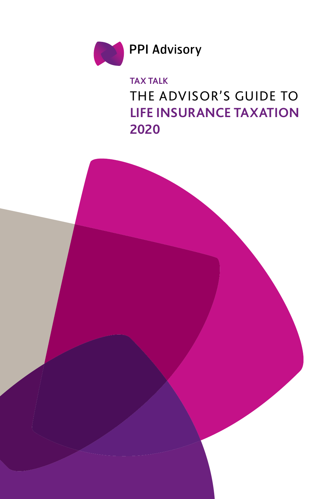

**TAX TALK** THE ADVISOR'S GUIDE TO **LIFE INSURANCE TAXATION 2020**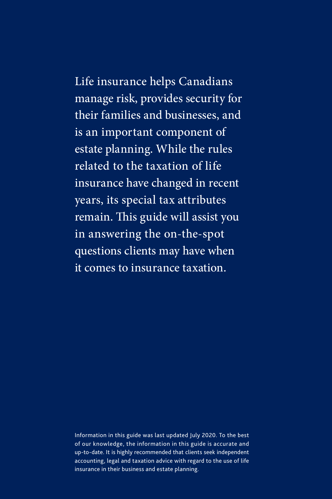# Life insurance helps Canadians manage risk, provides security for their families and businesses, and is an important component of estate planning. While the rules related to the taxation of life insurance have changed in recent years, its special tax attributes remain. This guide will assist you in answering the on-the-spot questions clients may have when

it comes to insurance taxation.

Information in this guide was last updated July 2020. To the best of our knowledge, the information in this guide is accurate and up-to-date. It is highly recommended that clients seek independent accounting, legal and taxation advice with regard to the use of life insurance in their business and estate planning.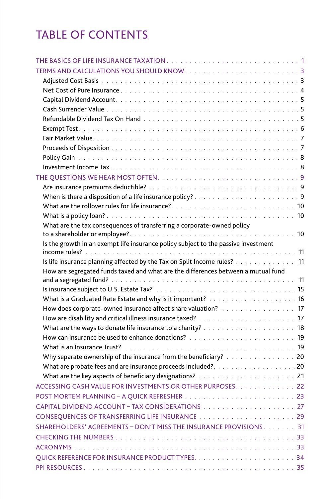# TABLE OF CONTENTS

| What are the tax consequences of transferring a corporate-owned policy             |  |
|------------------------------------------------------------------------------------|--|
|                                                                                    |  |
| Is the growth in an exempt life insurance policy subject to the passive investment |  |
| Is life insurance planning affected by the Tax on Split Income rules? 11           |  |
| How are segregated funds taxed and what are the differences between a mutual fund  |  |
|                                                                                    |  |
|                                                                                    |  |
|                                                                                    |  |
| How does corporate-owned insurance affect share valuation? 17                      |  |
|                                                                                    |  |
|                                                                                    |  |
|                                                                                    |  |
|                                                                                    |  |
| Why separate ownership of the insurance from the beneficiary? 20                   |  |
| What are probate fees and are insurance proceeds included?20                       |  |
|                                                                                    |  |
| ACCESSING CASH VALUE FOR INVESTMENTS OR OTHER PURPOSES. 22                         |  |
|                                                                                    |  |
|                                                                                    |  |
|                                                                                    |  |
| SHAREHOLDERS' AGREEMENTS - DON'T MISS THE INSURANCE PROVISIONS. 31                 |  |
|                                                                                    |  |
|                                                                                    |  |
|                                                                                    |  |
|                                                                                    |  |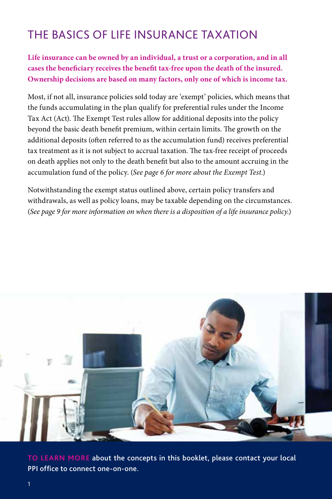## <span id="page-3-0"></span>THE BASICS OF LIFE INSURANCE TAXATION

**Life insurance can be owned by an individual, a trust or a corporation, and in all cases the beneficiary receives the benefit tax-free upon the death of the insured. Ownership decisions are based on many factors, only one of which is income tax.** 

Most, if not all, insurance policies sold today are 'exempt' policies, which means that the funds accumulating in the plan qualify for preferential rules under the Income Tax Act (Act). The Exempt Test rules allow for additional deposits into the policy beyond the basic death benefit premium, within certain limits. The growth on the additional deposits (often referred to as the accumulation fund) receives preferential tax treatment as it is not subject to accrual taxation. The tax-free receipt of proceeds on death applies not only to the death benefit but also to the amount accruing in the accumulation fund of the policy. (*[See page 6 for more about the Exempt Test.](#page-8-0)*)

Notwithstanding the exempt status outlined above, certain policy transfers and withdrawals, as well as policy loans, may be taxable depending on the circumstances. (*[See page 9 for more information on when there is a disposition of a life insurance policy.](#page-11-0)*)



**TO LEARN MORE** [about the concepts in this booklet, please contact your local](#page-38-0)  PPI office to connect one-on-one.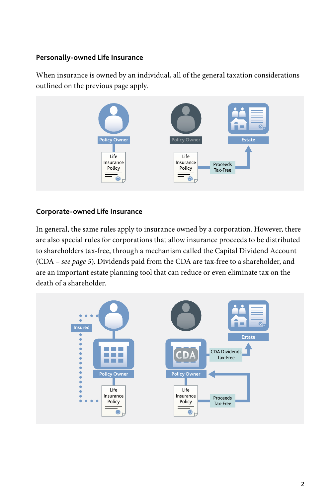#### **Personally-owned Life Insurance**

When insurance is owned by an individual, all of the general taxation considerations outlined on the previous page apply.



#### **Corporate-owned Life Insurance**

In general, the same rules apply to insurance owned by a corporation. However, there are also special rules for corporations that allow insurance proceeds to be distributed to shareholders tax-free, through a mechanism called the Capital Dividend Account (CDA – *[see page 5](#page-7-0)*). Dividends paid from the CDA are tax-free to a shareholder, and are an important estate planning tool that can reduce or even eliminate tax on the death of a shareholder.

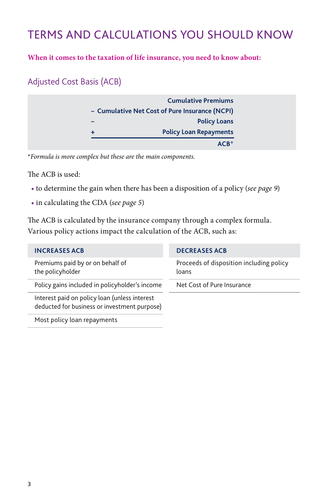## <span id="page-5-0"></span>TERMS AND CALCULATIONS YOU SHOULD KNOW

#### **When it comes to the taxation of life insurance, you need to know about:**

## Adjusted Cost Basis (ACB)

|   | <b>Cumulative Premiums</b>                     |
|---|------------------------------------------------|
|   | - Cumulative Net Cost of Pure Insurance (NCPI) |
|   | <b>Policy Loans</b>                            |
| ٠ | <b>Policy Loan Repayments</b>                  |
|   | $ACR*$                                         |

\**Formula is more complex but these are the main components.* 

The ACB is used:

- to determine the gain when there has been a disposition of a policy (*[see page 9](#page-11-0)*)
- in calculating the CDA (*[see page 5](#page-7-0)*)

The ACB is calculated by the insurance company through a complex formula. Various policy actions impact the calculation of the ACB, such as:

| <b>INCREASES ACB</b>                                                                          | <b>DECREASES ACB</b>                              |
|-----------------------------------------------------------------------------------------------|---------------------------------------------------|
| Premiums paid by or on behalf of<br>the policyholder                                          | Proceeds of disposition including policy<br>loans |
| Policy gains included in policyholder's income                                                | Net Cost of Pure Insurance                        |
| Interest paid on policy loan (unless interest<br>deducted for business or investment purpose) |                                                   |
| Most policy loan repayments                                                                   |                                                   |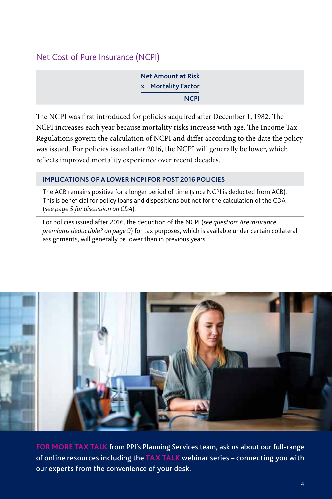### <span id="page-6-0"></span>Net Cost of Pure Insurance (NCPI)

**Net Amount at Risk x Mortality Factor NCPI**

The NCPI was first introduced for policies acquired after December 1, 1982. The NCPI increases each year because mortality risks increase with age. The Income Tax Regulations govern the calculation of NCPI and differ according to the date the policy was issued. For policies issued after 2016, the NCPI will generally be lower, which reflects improved mortality experience over recent decades.

#### **IMPLICATIONS OF A LOWER NCPI FOR POST 2016 POLICIES**

The ACB remains positive for a longer period of time (since NCPI is deducted from ACB). This is beneficial for policy loans and dispositions but not for the calculation of the CDA (*[see page 5 for discussion on CDA](#page-7-0)*).

For policies issued after 2016, the deduction of the NCPI (*[see question: Are insurance](#page-11-0)  [premiums deductible? on page 9](#page-11-0)*) for tax purposes, which is available under certain collateral assignments, will generally be lower than in previous years.



**FOR MORE TAX TALK** [from PPI's Planning Services team, ask us about our full-range](#page-38-0)  of online resources including the **TAX TALK** webinar series – connecting you with our experts from the convenience of your desk.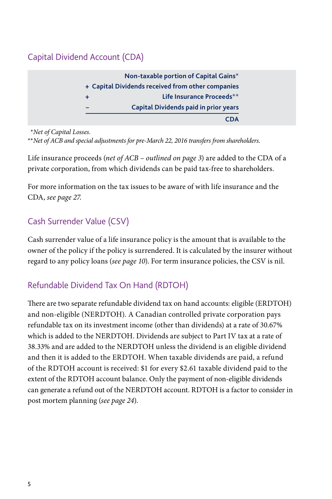## <span id="page-7-0"></span>Capital Dividend Account (CDA)

| + Capital Dividends received from other companies |                                       |
|---------------------------------------------------|---------------------------------------|
|                                                   |                                       |
|                                                   | Life Insurance Proceeds**             |
|                                                   | Capital Dividends paid in prior years |

\**Net of Capital Losses.*

\*\**Net of ACB and special adjustments for pre-March 22, 2016 transfers from shareholders.*

Life insurance proceeds (*[net of ACB – outlined on page 3](#page-5-0)*) are added to the CDA of a private corporation, from which dividends can be paid tax-free to shareholders.

For more information on the tax issues to be aware of with life insurance and the CDA, *[see page 27](#page-29-0)*.

## Cash Surrender Value (CSV)

Cash surrender value of a life insurance policy is the amount that is available to the owner of the policy if the policy is surrendered. It is calculated by the insurer without regard to any policy loans (*[see page 10](#page-12-0)*). For term insurance policies, the CSV is nil.

## Refundable Dividend Tax On Hand (RDTOH)

There are two separate refundable dividend tax on hand accounts: eligible (ERDTOH) and non-eligible (NERDTOH). A Canadian controlled private corporation pays refundable tax on its investment income (other than dividends) at a rate of 30.67% which is added to the NERDTOH. Dividends are subject to Part IV tax at a rate of 38.33% and are added to the NERDTOH unless the dividend is an eligible dividend and then it is added to the ERDTOH. When taxable dividends are paid, a refund of the RDTOH account is received: \$1 for every \$2.61 taxable dividend paid to the extent of the RDTOH account balance. Only the payment of non-eligible dividends can generate a refund out of the NERDTOH account. RDTOH is a factor to consider in post mortem planning (*[see page 24](#page-26-0)*).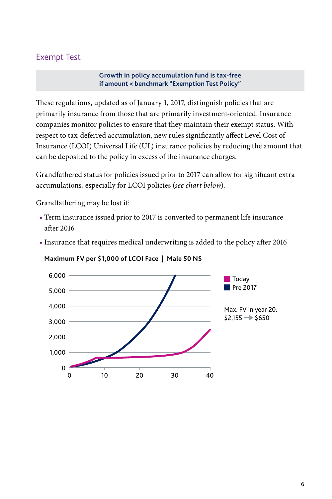### <span id="page-8-0"></span>Exempt Test

**Growth in policy accumulation fund is tax-free if amount < benchmark "Exemption Test Policy"**

These regulations, updated as of January 1, 2017, distinguish policies that are primarily insurance from those that are primarily investment-oriented. Insurance companies monitor policies to ensure that they maintain their exempt status. With respect to tax-deferred accumulation, new rules significantly affect Level Cost of Insurance (LCOI) Universal Life (UL) insurance policies by reducing the amount that can be deposited to the policy in excess of the insurance charges.

Grandfathered status for policies issued prior to 2017 can allow for significant extra accumulations, especially for LCOI policies (*see chart below*).

Grandfathering may be lost if:

- Term insurance issued prior to 2017 is converted to permanent life insurance after 2016
- Insurance that requires medical underwriting is added to the policy after 2016



#### **Maximum FV per \$1,000 of LCOI Face | Male 50 NS**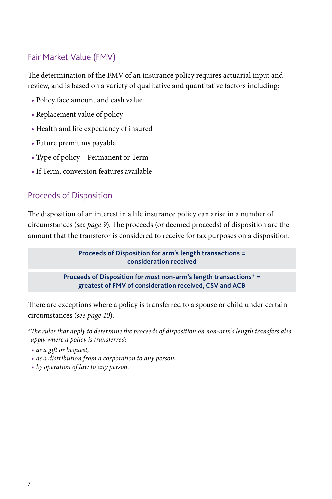## <span id="page-9-0"></span>Fair Market Value (FMV)

The determination of the FMV of an insurance policy requires actuarial input and review, and is based on a variety of qualitative and quantitative factors including:

- Policy face amount and cash value
- Replacement value of policy
- Health and life expectancy of insured
- Future premiums payable
- Type of policy Permanent or Term
- If Term, conversion features available

### Proceeds of Disposition

The disposition of an interest in a life insurance policy can arise in a number of circumstances (*[see page 9](#page-11-0)*). The proceeds (or deemed proceeds) of disposition are the amount that the transferor is considered to receive for tax purposes on a disposition.

> **Proceeds of Disposition for arm's length transactions = consideration received**

**Proceeds of Disposition for** *most* **non-arm's length transactions**\* **= greatest of FMV of consideration received, CSV and ACB**

There are exceptions where a policy is transferred to a spouse or child under certain circumstances (*[see page 10](#page-12-0)*).

*\*The rules that apply to determine the proceeds of disposition on non-arm's length transfers also apply where a policy is transferred:*

- *• as a gift or bequest,*
- *• as a distribution from a corporation to any person,*
- *• by operation of law to any person.*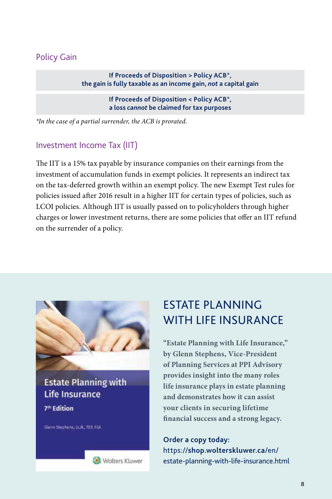### <span id="page-10-0"></span>Policy Gain

**If Proceeds of Disposition > Policy ACB**\***, the gain is fully taxable as an income gain,** *not* **a capital gain**

> **If Proceeds of Disposition < Policy ACB**\***, a loss** *cannot* **be claimed for tax purposes**

*\*In the case of a partial surrender, the ACB is prorated.*

#### Investment Income Tax (IIT)

The IIT is a 15% tax payable by insurance companies on their earnings from the investment of accumulation funds in exempt policies. It represents an indirect tax on the tax-deferred growth within an exempt policy. The new Exempt Test rules for policies issued after 2016 result in a higher IIT for certain types of policies, such as LCOI policies. Although IIT is usually passed on to policyholders through higher charges or lower investment returns, there are some policies that offer an IIT refund on the surrender of a policy.



**Estate Planning with** Life Insurance 7<sup>th</sup> Edition

Wolters Kluwer

Glenn Stephens, LLB., TEP, FEA

## ESTATE PLANNING WITH LIFE INSURANCE

**"Estate Planning with Life Insurance," by Glenn Stephens, Vice-President of Planning Services at PPI Advisory provides insight into the many roles life insurance plays in estate planning and demonstrates how it can assist your clients in securing lifetime financial success and a strong legacy.** 

**Order a copy today:**  https://**shop.wolterskluwer.ca**/en/ [estate-planning-with-life-insurance.html](https://shop.wolterskluwer.ca/en/estate-planning-with-life-insurance.html)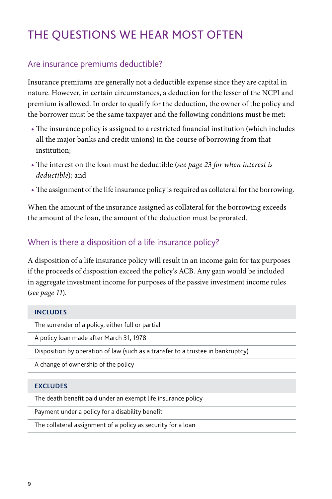## <span id="page-11-0"></span>THE QUESTIONS WE HEAR MOST OFTEN

### Are insurance premiums deductible?

Insurance premiums are generally not a deductible expense since they are capital in nature. However, in certain circumstances, a deduction for the lesser of the NCPI and premium is allowed. In order to qualify for the deduction, the owner of the policy and the borrower must be the same taxpayer and the following conditions must be met:

- The insurance policy is assigned to a restricted financial institution (which includes all the major banks and credit unions) in the course of borrowing from that institution;
- The interest on the loan must be deductible (*[see page 23 for when interest is](#page-25-0)  [deductible](#page-25-0)*); and
- The assignment of the life insurance policy is required as collateral for the borrowing.

When the amount of the insurance assigned as collateral for the borrowing exceeds the amount of the loan, the amount of the deduction must be prorated.

### When is there a disposition of a life insurance policy?

A disposition of a life insurance policy will result in an income gain for tax purposes if the proceeds of disposition exceed the policy's ACB. Any gain would be included in aggregate investment income for purposes of the passive investment income rules (*[see page 11](#page-13-0)*).

#### **INCLUDES**

The surrender of a policy, either full or partial

A policy loan made after March 31, 1978

Disposition by operation of law (such as a transfer to a trustee in bankruptcy)

A change of ownership of the policy

#### **EXCLUDES**

The death benefit paid under an exempt life insurance policy

Payment under a policy for a disability benefit

The collateral assignment of a policy as security for a loan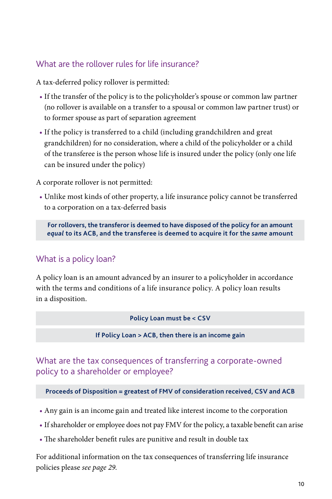### <span id="page-12-0"></span>What are the rollover rules for life insurance?

A tax-deferred policy rollover is permitted:

- If the transfer of the policy is to the policyholder's spouse or common law partner (no rollover is available on a transfer to a spousal or common law partner trust) or to former spouse as part of separation agreement
- If the policy is transferred to a child (including grandchildren and great grandchildren) for no consideration, where a child of the policyholder or a child of the transferee is the person whose life is insured under the policy (only one life can be insured under the policy)

A corporate rollover is not permitted:

• Unlike most kinds of other property, a life insurance policy cannot be transferred to a corporation on a tax-deferred basis

**For rollovers, the transferor is deemed to have disposed of the policy for an amount**  *equal* **to its ACB, and the transferee is deemed to acquire it for the** *same* **amount**

## What is a policy loan?

A policy loan is an amount advanced by an insurer to a policyholder in accordance with the terms and conditions of a life insurance policy. A policy loan results in a disposition.

**Policy Loan must be < CSV**

**If Policy Loan > ACB, then there is an income gain**

What are the tax consequences of transferring a corporate-owned policy to a shareholder or employee?

#### **Proceeds of Disposition = greatest of FMV of consideration received, CSV and ACB**

- Any gain is an income gain and treated like interest income to the corporation
- If shareholder or employee does not pay FMV for the policy, a taxable benefit can arise
- The shareholder benefit rules are punitive and result in double tax

For additional information on the tax consequences of transferring life insurance policies please *[see page 29](#page-31-0)*.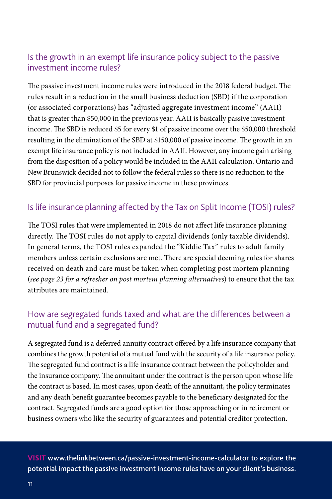## <span id="page-13-0"></span>Is the growth in an exempt life insurance policy subject to the passive investment income rules?

The passive investment income rules were introduced in the 2018 federal budget. The rules result in a reduction in the small business deduction (SBD) if the corporation (or associated corporations) has "adjusted aggregate investment income" (AAII) that is greater than \$50,000 in the previous year. AAII is basically passive investment income. The SBD is reduced \$5 for every \$1 of passive income over the \$50,000 threshold resulting in the elimination of the SBD at \$150,000 of passive income. The growth in an exempt life insurance policy is not included in AAII. However, any income gain arising from the disposition of a policy would be included in the AAII calculation. Ontario and New Brunswick decided not to follow the federal rules so there is no reduction to the SBD for provincial purposes for passive income in these provinces.

## Is life insurance planning affected by the Tax on Split Income (TOSI) rules?

The TOSI rules that were implemented in 2018 do not affect life insurance planning directly. The TOSI rules do not apply to capital dividends (only taxable dividends). In general terms, the TOSI rules expanded the "Kiddie Tax" rules to adult family members unless certain exclusions are met. There are special deeming rules for shares received on death and care must be taken when completing post mortem planning (*[see page 23 for a refresher on post mortem planning alternatives](#page-25-0)*) to ensure that the tax attributes are maintained.

## How are segregated funds taxed and what are the differences between a mutual fund and a segregated fund?

A segregated fund is a deferred annuity contract offered by a life insurance company that combines the growth potential of a mutual fund with the security of a life insurance policy. The segregated fund contract is a life insurance contract between the policyholder and the insurance company. The annuitant under the contract is the person upon whose life the contract is based. In most cases, upon death of the annuitant, the policy terminates and any death benefit guarantee becomes payable to the beneficiary designated for the contract. Segregated funds are a good option for those approaching or in retirement or business owners who like the security of guarantees and potential creditor protection.

**VISIT** [www.thelinkbetween.ca/passive-investment-income-calculator](http://www.thelinkbetween.ca/passive-investment-income-calculator/) to explore the potential impact the passive investment income rules have on your client's business.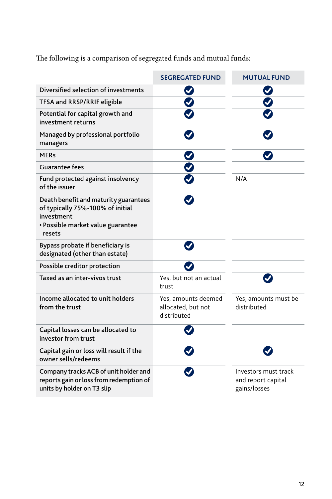The following is a comparison of segregated funds and mutual funds:

|                                                                                                                                        | <b>SEGREGATED FUND</b>                                   | <b>MUTUAL FUND</b>                                         |
|----------------------------------------------------------------------------------------------------------------------------------------|----------------------------------------------------------|------------------------------------------------------------|
| Diversified selection of investments                                                                                                   |                                                          |                                                            |
| <b>TFSA and RRSP/RRIF eligible</b>                                                                                                     |                                                          |                                                            |
| Potential for capital growth and<br>investment returns                                                                                 |                                                          |                                                            |
| Managed by professional portfolio<br>managers                                                                                          |                                                          |                                                            |
| <b>MERs</b>                                                                                                                            |                                                          |                                                            |
| <b>Guarantee fees</b>                                                                                                                  | $\frac{8}{5}$                                            |                                                            |
| Fund protected against insolvency<br>of the issuer                                                                                     |                                                          | N/A                                                        |
| Death benefit and maturity guarantees<br>of typically 75%-100% of initial<br>investment<br>• Possible market value guarantee<br>resets |                                                          |                                                            |
| Bypass probate if beneficiary is<br>designated (other than estate)                                                                     |                                                          |                                                            |
| Possible creditor protection                                                                                                           |                                                          |                                                            |
| Taxed as an inter-vivos trust                                                                                                          | Yes, but not an actual<br>trust                          |                                                            |
| Income allocated to unit holders<br>from the trust                                                                                     | Yes, amounts deemed<br>allocated, but not<br>distributed | Yes, amounts must be<br>distributed                        |
| Capital losses can be allocated to<br>investor from trust                                                                              |                                                          |                                                            |
| Capital gain or loss will result if the<br>owner sells/redeems                                                                         |                                                          |                                                            |
| Company tracks ACB of unit holder and<br>reports gain or loss from redemption of<br>units by holder on T3 slip                         |                                                          | Investors must track<br>and report capital<br>gains/losses |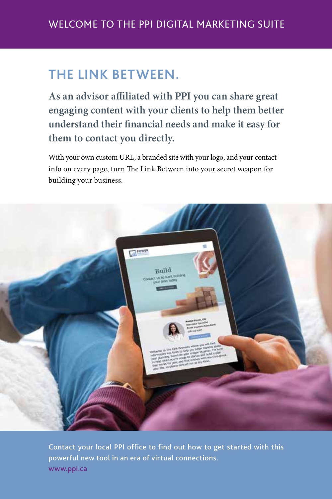## **THE LINK BETWEEN.**

**As an advisor affiliated with PPI you can share great engaging content with your clients to help them better understand their financial needs and make it easy for them to contact you directly.** 

With your own custom URL, a branded site with your logo, and your contact info on every page, turn The Link Between into your secret weapon for building your business.



Contact your local PPI office to find out how to get started with this powerful new tool in an era of virtual connections. [www.ppi.ca](https://www.ppi.ca/en/contact)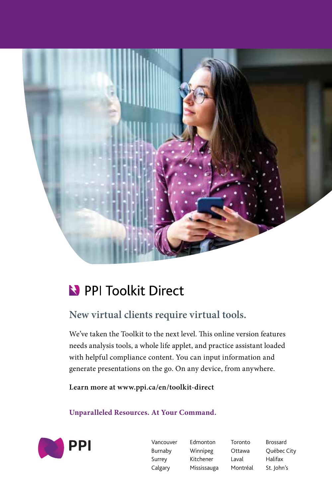

# PPI Toolkit Direct

## **New virtual clients require virtual tools.**

We've taken the Toolkit to the next level. This online version features needs analysis tools, a whole life applet, and practice assistant loaded with helpful compliance content. You can input information and generate presentations on the go. On any device, from anywhere.

**Learn more at [www.ppi.ca/en/toolkit-direct](https://www.ppi.ca/en/toolkit-direct)**

**Unparalleled Resources. At Your Command.** 



Vancouver Edmonton Toronto Brossard Burnaby Winnipeg Ottawa Québec City Surrey Kitchener Laval Halifax Calgary Mississauga Montréal St. John's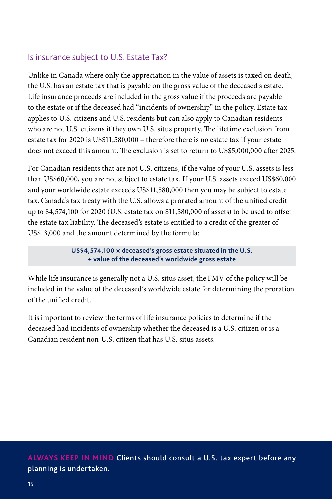## <span id="page-17-0"></span>Is insurance subject to U.S. Estate Tax?

Unlike in Canada where only the appreciation in the value of assets is taxed on death, the U.S. has an estate tax that is payable on the gross value of the deceased's estate. Life insurance proceeds are included in the gross value if the proceeds are payable to the estate or if the deceased had "incidents of ownership" in the policy. Estate tax applies to U.S. citizens and U.S. residents but can also apply to Canadian residents who are not U.S. citizens if they own U.S. situs property. The lifetime exclusion from estate tax for 2020 is US\$11,580,000 – therefore there is no estate tax if your estate does not exceed this amount. The exclusion is set to return to US\$5,000,000 after 2025.

For Canadian residents that are not U.S. citizens, if the value of your U.S. assets is less than US\$60,000, you are not subject to estate tax. If your U.S. assets exceed US\$60,000 and your worldwide estate exceeds US\$11,580,000 then you may be subject to estate tax. Canada's tax treaty with the U.S. allows a prorated amount of the unified credit up to \$4,574,100 for 2020 (U.S. estate tax on \$11,580,000 of assets) to be used to offset the estate tax liability. The deceased's estate is entitled to a credit of the greater of US\$13,000 and the amount determined by the formula:

> **US\$4,574,100 × deceased's gross estate situated in the U.S. ÷ value of the deceased's worldwide gross estate**

While life insurance is generally not a U.S. situs asset, the FMV of the policy will be included in the value of the deceased's worldwide estate for determining the proration of the unified credit.

It is important to review the terms of life insurance policies to determine if the deceased had incidents of ownership whether the deceased is a U.S. citizen or is a Canadian resident non-U.S. citizen that has U.S. situs assets.

**ALWAYS KEEP IN MIND** Clients should consult a U.S. tax expert before any planning is undertaken.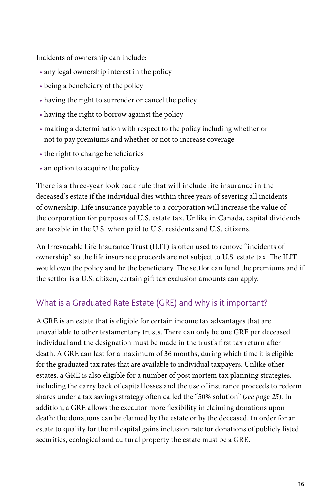<span id="page-18-0"></span>Incidents of ownership can include:

- any legal ownership interest in the policy
- being a beneficiary of the policy
- having the right to surrender or cancel the policy
- having the right to borrow against the policy
- making a determination with respect to the policy including whether or not to pay premiums and whether or not to increase coverage
- the right to change beneficiaries
- an option to acquire the policy

There is a three-year look back rule that will include life insurance in the deceased's estate if the individual dies within three years of severing all incidents of ownership. Life insurance payable to a corporation will increase the value of the corporation for purposes of U.S. estate tax. Unlike in Canada, capital dividends are taxable in the U.S. when paid to U.S. residents and U.S. citizens.

An Irrevocable Life Insurance Trust (ILIT) is often used to remove "incidents of ownership" so the life insurance proceeds are not subject to U.S. estate tax. The ILIT would own the policy and be the beneficiary. The settlor can fund the premiums and if the settlor is a U.S. citizen, certain gift tax exclusion amounts can apply.

## What is a Graduated Rate Estate (GRE) and why is it important?

A GRE is an estate that is eligible for certain income tax advantages that are unavailable to other testamentary trusts. There can only be one GRE per deceased individual and the designation must be made in the trust's first tax return after death. A GRE can last for a maximum of 36 months, during which time it is eligible for the graduated tax rates that are available to individual taxpayers. Unlike other estates, a GRE is also eligible for a number of post mortem tax planning strategies, including the carry back of capital losses and the use of insurance proceeds to redeem shares under a tax savings strategy often called the "50% solution" (*[see page 25](#page-27-0)*). In addition, a GRE allows the executor more flexibility in claiming donations upon death: the donations can be claimed by the estate or by the deceased. In order for an estate to qualify for the nil capital gains inclusion rate for donations of publicly listed securities, ecological and cultural property the estate must be a GRE.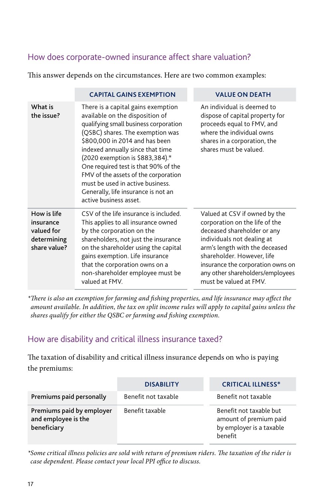## <span id="page-19-0"></span>How does corporate-owned insurance affect share valuation?

This answer depends on the circumstances. Here are two common examples:

|                                                                       | <b>CAPITAL GAINS EXEMPTION</b>                                                                                                                                                                                                                                                                                                                                                                                                                   | <b>VALUE ON DEATH</b>                                                                                                                                                                                                                                                                           |
|-----------------------------------------------------------------------|--------------------------------------------------------------------------------------------------------------------------------------------------------------------------------------------------------------------------------------------------------------------------------------------------------------------------------------------------------------------------------------------------------------------------------------------------|-------------------------------------------------------------------------------------------------------------------------------------------------------------------------------------------------------------------------------------------------------------------------------------------------|
| What is<br>the issue?                                                 | There is a capital gains exemption<br>available on the disposition of<br>qualifying small business corporation<br>(QSBC) shares. The exemption was<br>\$800,000 in 2014 and has been<br>indexed annually since that time<br>(2020 exemption is \$883,384).*<br>One required test is that 90% of the<br>FMV of the assets of the corporation<br>must be used in active business.<br>Generally, life insurance is not an<br>active business asset. | An individual is deemed to<br>dispose of capital property for<br>proceeds equal to FMV, and<br>where the individual owns<br>shares in a corporation, the<br>shares must be valued.                                                                                                              |
| How is life<br>insurance<br>valued for<br>determining<br>share value? | CSV of the life insurance is included.<br>This applies to all insurance owned<br>by the corporation on the<br>shareholders, not just the insurance<br>on the shareholder using the capital<br>gains exemption. Life insurance<br>that the corporation owns on a<br>non-shareholder employee must be<br>valued at FMV.                                                                                                                            | Valued at CSV if owned by the<br>corporation on the life of the<br>deceased shareholder or any<br>individuals not dealing at<br>arm's length with the deceased<br>shareholder. However, life<br>insurance the corporation owns on<br>any other shareholders/employees<br>must be valued at FMV. |

*\*There is also an exemption for farming and fishing properties, and life insurance may affect the amount available. In addition, the tax on split income rules will apply to capital gains unless the shares qualify for either the QSBC or farming and fishing exemption.*

## How are disability and critical illness insurance taxed?

The taxation of disability and critical illness insurance depends on who is paying the premiums:

|                                                                 | <b>DISABILITY</b>   | <b>CRITICAL ILLNESS*</b>                                                                        |
|-----------------------------------------------------------------|---------------------|-------------------------------------------------------------------------------------------------|
| Premiums paid personally                                        | Benefit not taxable | Benefit not taxable                                                                             |
| Premiums paid by employer<br>and employee is the<br>beneficiary | Benefit taxable     | Benefit not taxable but<br>amount of premium paid<br>by employer is a taxable<br><b>benefit</b> |

*\*Some critical illness policies are sold with return of premium riders. The taxation of the rider is case dependent. Please contact your local PPI office to discuss.*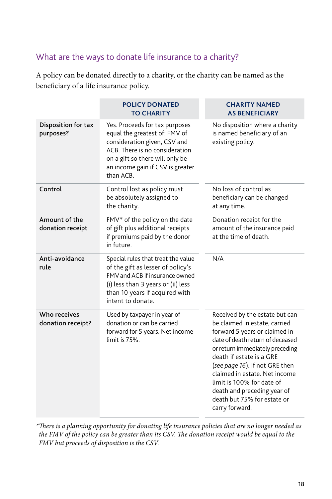## <span id="page-20-0"></span>What are the ways to donate life insurance to a charity?

A policy can be donated directly to a charity, or the charity can be named as the beneficiary of a life insurance policy.

|                                   | <b>POLICY DONATED</b><br><b>TO CHARITY</b>                                                                                                                                                                            | <b>CHARITY NAMED</b><br><b>AS BENEFICIARY</b>                                                                                                                                                                                                                                                                                                                                       |
|-----------------------------------|-----------------------------------------------------------------------------------------------------------------------------------------------------------------------------------------------------------------------|-------------------------------------------------------------------------------------------------------------------------------------------------------------------------------------------------------------------------------------------------------------------------------------------------------------------------------------------------------------------------------------|
| Disposition for tax<br>purposes?  | Yes. Proceeds for tax purposes<br>equal the greatest of: FMV of<br>consideration given, CSV and<br>ACB. There is no consideration<br>on a gift so there will only be<br>an income gain if CSV is greater<br>than ACB. | No disposition where a charity<br>is named beneficiary of an<br>existing policy.                                                                                                                                                                                                                                                                                                    |
| Control                           | Control lost as policy must<br>be absolutely assigned to<br>the charity.                                                                                                                                              | No loss of control as<br>beneficiary can be changed<br>at any time.                                                                                                                                                                                                                                                                                                                 |
| Amount of the<br>donation receipt | FMV* of the policy on the date<br>of gift plus additional receipts<br>if premiums paid by the donor<br>in future.                                                                                                     | Donation receipt for the<br>amount of the insurance paid<br>at the time of death.                                                                                                                                                                                                                                                                                                   |
| Anti-avoidance<br>rule            | Special rules that treat the value<br>of the gift as lesser of policy's<br>FMV and ACB if insurance owned<br>(i) less than 3 years or (ii) less<br>than 10 years if acquired with<br>intent to donate.                | N/A                                                                                                                                                                                                                                                                                                                                                                                 |
| Who receives<br>donation receipt? | Used by taxpayer in year of<br>donation or can be carried<br>forward for 5 years. Net income<br>limit is 75%.                                                                                                         | Received by the estate but can<br>be claimed in estate, carried<br>forward 5 years or claimed in<br>date of death return of deceased<br>or return immediately preceding<br>death if estate is a GRE<br>(see page 16). If not GRE then<br>claimed in estate. Net income<br>limit is 100% for date of<br>death and preceding year of<br>death but 75% for estate or<br>carry forward. |

*\*There is a planning opportunity for donating life insurance policies that are no longer needed as the FMV of the policy can be greater than its CSV. The donation receipt would be equal to the FMV but proceeds of disposition is the CSV.*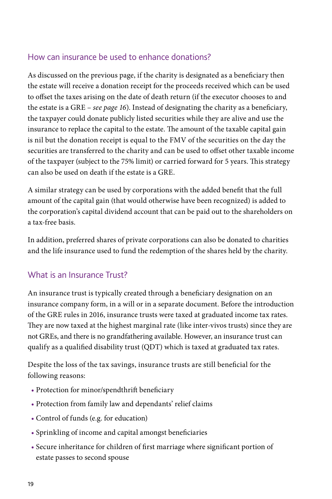### <span id="page-21-0"></span>How can insurance be used to enhance donations?

As discussed on the previous page, if the charity is designated as a beneficiary then the estate will receive a donation receipt for the proceeds received which can be used to offset the taxes arising on the date of death return (if the executor chooses to and the estate is a GRE – *[see page 16](#page-18-0)*). Instead of designating the charity as a beneficiary, the taxpayer could donate publicly listed securities while they are alive and use the insurance to replace the capital to the estate. The amount of the taxable capital gain is nil but the donation receipt is equal to the FMV of the securities on the day the securities are transferred to the charity and can be used to offset other taxable income of the taxpayer (subject to the 75% limit) or carried forward for 5 years. This strategy can also be used on death if the estate is a GRE.

A similar strategy can be used by corporations with the added benefit that the full amount of the capital gain (that would otherwise have been recognized) is added to the corporation's capital dividend account that can be paid out to the shareholders on a tax-free basis.

In addition, preferred shares of private corporations can also be donated to charities and the life insurance used to fund the redemption of the shares held by the charity.

## What is an Insurance Trust?

An insurance trust is typically created through a beneficiary designation on an insurance company form, in a will or in a separate document. Before the introduction of the GRE rules in 2016, insurance trusts were taxed at graduated income tax rates. They are now taxed at the highest marginal rate (like inter-vivos trusts) since they are not GREs, and there is no grandfathering available. However, an insurance trust can qualify as a qualified disability trust (QDT) which is taxed at graduated tax rates.

Despite the loss of the tax savings, insurance trusts are still beneficial for the following reasons:

- Protection for minor/spendthrift beneficiary
- Protection from family law and dependants' relief claims
- Control of funds (e.g. for education)
- Sprinkling of income and capital amongst beneficiaries
- Secure inheritance for children of first marriage where significant portion of estate passes to second spouse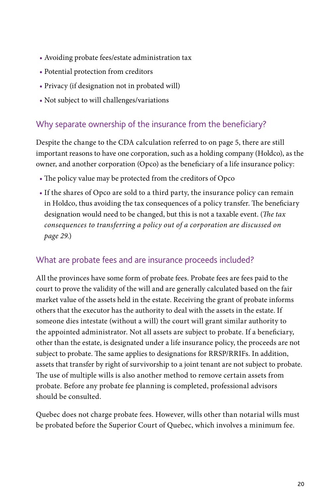- <span id="page-22-0"></span>• Avoiding probate fees/estate administration tax
- Potential protection from creditors
- Privacy (if designation not in probated will)
- Not subject to will challenges/variations

### Why separate ownership of the insurance from the beneficiary?

Despite the change to the CDA calculation referred to on [page 5,](#page-7-0) there are still important reasons to have one corporation, such as a holding company (Holdco), as the owner, and another corporation (Opco) as the beneficiary of a life insurance policy:

- The policy value may be protected from the creditors of Opco
- If the shares of Opco are sold to a third party, the insurance policy can remain in Holdco, thus avoiding the tax consequences of a policy transfer. The beneficiary designation would need to be changed, but this is not a taxable event. (*The tax consequences to transferring a policy out of a corporation are discussed on [page 29.](#page-31-0)*)

### What are probate fees and are insurance proceeds included?

All the provinces have some form of probate fees. Probate fees are fees paid to the court to prove the validity of the will and are generally calculated based on the fair market value of the assets held in the estate. Receiving the grant of probate informs others that the executor has the authority to deal with the assets in the estate. If someone dies intestate (without a will) the court will grant similar authority to the appointed administrator. Not all assets are subject to probate. If a beneficiary, other than the estate, is designated under a life insurance policy, the proceeds are not subject to probate. The same applies to designations for RRSP/RRIFs. In addition, assets that transfer by right of survivorship to a joint tenant are not subject to probate. The use of multiple wills is also another method to remove certain assets from probate. Before any probate fee planning is completed, professional advisors should be consulted.

Quebec does not charge probate fees. However, wills other than notarial wills must be probated before the Superior Court of Quebec, which involves a minimum fee.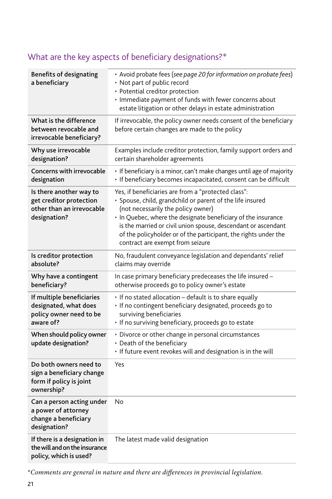| <b>Benefits of designating</b><br>a beneficiary                                                 | • Avoid probate fees (see page 20 for information on probate fees)<br>• Not part of public record<br>• Potential creditor protection<br>· Immediate payment of funds with fewer concerns about<br>estate litigation or other delays in estate administration                                                                                                                                    |
|-------------------------------------------------------------------------------------------------|-------------------------------------------------------------------------------------------------------------------------------------------------------------------------------------------------------------------------------------------------------------------------------------------------------------------------------------------------------------------------------------------------|
| What is the difference<br>between revocable and<br>irrevocable beneficiary?                     | If irrevocable, the policy owner needs consent of the beneficiary<br>before certain changes are made to the policy                                                                                                                                                                                                                                                                              |
| Why use irrevocable<br>designation?                                                             | Examples include creditor protection, family support orders and<br>certain shareholder agreements                                                                                                                                                                                                                                                                                               |
| Concerns with irrevocable<br>designation                                                        | · If beneficiary is a minor, can't make changes until age of majority<br>· If beneficiary becomes incapacitated, consent can be difficult                                                                                                                                                                                                                                                       |
| Is there another way to<br>get creditor protection<br>other than an irrevocable<br>designation? | Yes, if beneficiaries are from a "protected class":<br>· Spouse, child, grandchild or parent of the life insured<br>(not necessarily the policy owner)<br>• In Quebec, where the designate beneficiary of the insurance<br>is the married or civil union spouse, descendant or ascendant<br>of the policyholder or of the participant, the rights under the<br>contract are exempt from seizure |
| Is creditor protection<br>absolute?                                                             | No, fraudulent conveyance legislation and dependants' relief<br>claims may override                                                                                                                                                                                                                                                                                                             |
| Why have a contingent<br>beneficiary?                                                           | In case primary beneficiary predeceases the life insured -<br>otherwise proceeds go to policy owner's estate                                                                                                                                                                                                                                                                                    |
| If multiple beneficiaries<br>designated, what does<br>policy owner need to be<br>aware of?      | • If no stated allocation - default is to share equally<br>· If no contingent beneficiary designated, proceeds go to<br>surviving beneficiaries<br>• If no surviving beneficiary, proceeds go to estate                                                                                                                                                                                         |
| When should policy owner<br>update designation?                                                 | • Divorce or other change in personal circumstances<br>• Death of the beneficiary<br>• If future event revokes will and designation is in the will                                                                                                                                                                                                                                              |
| Do both owners need to<br>sign a beneficiary change<br>form if policy is joint<br>ownership?    | Yes                                                                                                                                                                                                                                                                                                                                                                                             |
| Can a person acting under<br>a power of attorney<br>change a beneficiary<br>designation?        | No                                                                                                                                                                                                                                                                                                                                                                                              |
| If there is a designation in<br>the will and on the insurance<br>policy, which is used?         | The latest made valid designation                                                                                                                                                                                                                                                                                                                                                               |

## <span id="page-23-0"></span>What are the key aspects of beneficiary designations?\*

\**Comments are general in nature and there are differences in provincial legislation.*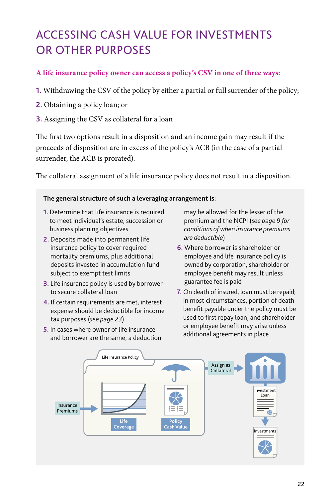# <span id="page-24-0"></span>ACCESSING CASH VALUE FOR INVESTMENTS OR OTHER PURPOSES

#### **A life insurance policy owner can access a policy's CSV in one of three ways:**

- **1.** Withdrawing the CSV of the policy by either a partial or full surrender of the policy;
- **2.** Obtaining a policy loan; or
- **3.** Assigning the CSV as collateral for a loan

The first two options result in a disposition and an income gain may result if the proceeds of disposition are in excess of the policy's ACB (in the case of a partial surrender, the ACB is prorated).

The collateral assignment of a life insurance policy does not result in a disposition.

#### **The general structure of such a leveraging arrangement is:**

- **1.** Determine that life insurance is required to meet individual's estate, succession or business planning objectives
- **2.** Deposits made into permanent life insurance policy to cover required mortality premiums, plus additional deposits invested in accumulation fund subject to exempt test limits
- **3.** Life insurance policy is used by borrower to secure collateral loan
- **4.** If certain requirements are met, interest expense should be deductible for income tax purposes (*[see page 23](#page-25-0)*)
- **5.** In cases where owner of life insurance and borrower are the same, a deduction

may be allowed for the lesser of the premium and the NCPI (*[see page 9 for](#page-11-0)  [conditions of when insurance premiums](#page-11-0)  [are deductible](#page-11-0)*)

- **6.** Where borrower is shareholder or employee and life insurance policy is owned by corporation, shareholder or employee benefit may result unless guarantee fee is paid
- **7.** On death of insured, loan must be repaid; in most circumstances, portion of death benefit payable under the policy must be used to first repay loan, and shareholder or employee benefit may arise unless additional agreements in place

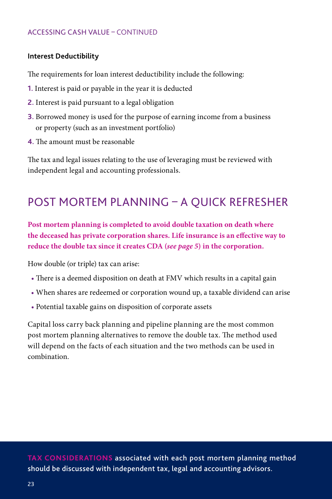#### <span id="page-25-0"></span>**Interest Deductibility**

The requirements for loan interest deductibility include the following:

- **1.** Interest is paid or payable in the year it is deducted
- **2.** Interest is paid pursuant to a legal obligation
- **3.** Borrowed money is used for the purpose of earning income from a business or property (such as an investment portfolio)
- **4.** The amount must be reasonable

The tax and legal issues relating to the use of leveraging must be reviewed with independent legal and accounting professionals.

## POST MORTEM PLANNING – A QUICK REFRESHER

**Post mortem planning is completed to avoid double taxation on death where the deceased has private corporation shares. Life insurance is an effective way to reduce the double tax since it creates CDA (***[see page 5](#page-7-0)***) in the corporation.** 

How double (or triple) tax can arise:

- There is a deemed disposition on death at FMV which results in a capital gain
- When shares are redeemed or corporation wound up, a taxable dividend can arise
- Potential taxable gains on disposition of corporate assets

Capital loss carry back planning and pipeline planning are the most common post mortem planning alternatives to remove the double tax. The method used will depend on the facts of each situation and the two methods can be used in combination.

**TAX CONSIDERATIONS** associated with each post mortem planning method should be discussed with independent tax, legal and accounting advisors.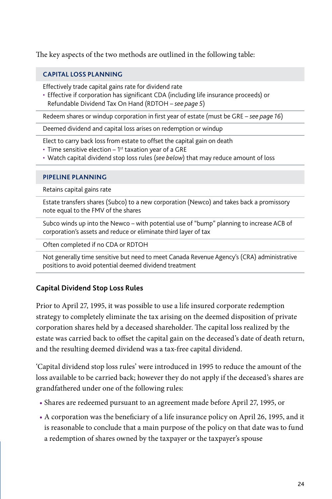<span id="page-26-0"></span>The key aspects of the two methods are outlined in the following table:

#### **CAPITAL LOSS PLANNING**

Effectively trade capital gains rate for dividend rate

• Effective if corporation has significant CDA (including life insurance proceeds) or Refundable Dividend Tax On Hand (RDTOH – *[see page 5](#page-7-0)*)

Redeem shares or windup corporation in first year of estate (must be GRE – *[see page 16](#page-18-0)*)

Deemed dividend and capital loss arises on redemption or windup

Elect to carry back loss from estate to offset the capital gain on death

- Time sensitive election  $-1^{st}$  taxation year of a GRE
- Watch capital dividend stop loss rules (*see below*) that may reduce amount of loss

#### **PIPELINE PLANNING**

Retains capital gains rate

Estate transfers shares (Subco) to a new corporation (Newco) and takes back a promissory note equal to the FMV of the shares

Subco winds up into the Newco – with potential use of "bump" planning to increase ACB of corporation's assets and reduce or eliminate third layer of tax

Often completed if no CDA or RDTOH

Not generally time sensitive but need to meet Canada Revenue Agency's (CRA) administrative positions to avoid potential deemed dividend treatment

#### **Capital Dividend Stop Loss Rules**

Prior to April 27, 1995, it was possible to use a life insured corporate redemption strategy to completely eliminate the tax arising on the deemed disposition of private corporation shares held by a deceased shareholder. The capital loss realized by the estate was carried back to offset the capital gain on the deceased's date of death return, and the resulting deemed dividend was a tax-free capital dividend.

'Capital dividend stop loss rules' were introduced in 1995 to reduce the amount of the loss available to be carried back; however they do not apply if the deceased's shares are grandfathered under one of the following rules:

- Shares are redeemed pursuant to an agreement made before April 27, 1995, or
- A corporation was the beneficiary of a life insurance policy on April 26, 1995, and it is reasonable to conclude that a main purpose of the policy on that date was to fund a redemption of shares owned by the taxpayer or the taxpayer's spouse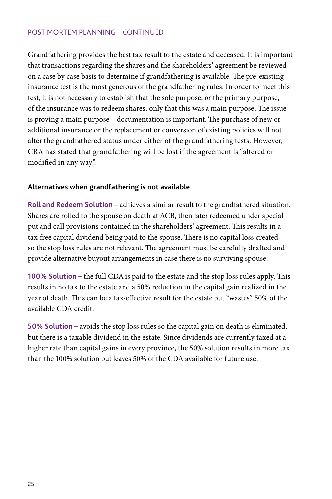#### <span id="page-27-0"></span>POST MORTEM PLANNING – CONTINUED

Grandfathering provides the best tax result to the estate and deceased. It is important that transactions regarding the shares and the shareholders' agreement be reviewed on a case by case basis to determine if grandfathering is available. The pre-existing insurance test is the most generous of the grandfathering rules. In order to meet this test, it is not necessary to establish that the sole purpose, or the primary purpose, of the insurance was to redeem shares, only that this was a main purpose. The issue is proving a main purpose – documentation is important. The purchase of new or additional insurance or the replacement or conversion of existing policies will not alter the grandfathered status under either of the grandfathering tests. However, CRA has stated that grandfathering will be lost if the agreement is "altered or modified in any way".

#### **Alternatives when grandfathering is not available**

**Roll and Redeem Solution –** achieves a similar result to the grandfathered situation. Shares are rolled to the spouse on death at ACB, then later redeemed under special put and call provisions contained in the shareholders' agreement. This results in a tax-free capital dividend being paid to the spouse. There is no capital loss created so the stop loss rules are not relevant. The agreement must be carefully drafted and provide alternative buyout arrangements in case there is no surviving spouse.

**100% Solution –** the full CDA is paid to the estate and the stop loss rules apply. This results in no tax to the estate and a 50% reduction in the capital gain realized in the year of death. This can be a tax-effective result for the estate but "wastes" 50% of the available CDA credit.

**50% Solution –** avoids the stop loss rules so the capital gain on death is eliminated, but there is a taxable dividend in the estate. Since dividends are currently taxed at a higher rate than capital gains in every province, the 50% solution results in more tax than the 100% solution but leaves 50% of the CDA available for future use.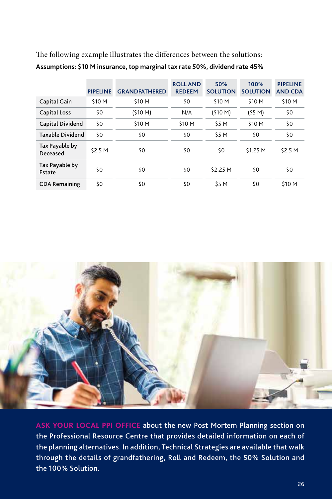|                            | <b>PIPELINE</b> | <b>GRANDFATHERED</b> | <b>ROLL AND</b><br><b>REDEEM</b> | 50%<br><b>SOLUTION</b> | 100%<br><b>SOLUTION</b> | <b>PIPELINE</b><br><b>AND CDA</b> |
|----------------------------|-----------------|----------------------|----------------------------------|------------------------|-------------------------|-----------------------------------|
| Capital Gain               | \$10 M          | \$10 M               | \$0                              | \$10 M                 | \$10 M                  | \$10 M                            |
| <b>Capital Loss</b>        | \$0             | (\$10 M)             | N/A                              | (510 M)                | (55 M)                  | \$0                               |
| Capital Dividend           | \$0             | \$10 M               | \$10 M                           | \$5 M                  | \$10 M                  | \$0                               |
| <b>Taxable Dividend</b>    | \$0             | \$0                  | \$0                              | \$5 M                  | \$0                     | \$0                               |
| Tax Payable by<br>Deceased | \$2.5 M         | \$0                  | \$0                              | \$0                    | \$1.25 M                | \$2.5 M                           |
| Tax Payable by<br>Estate   | \$0             | \$0                  | \$0                              | \$2.25 M               | \$0                     | \$0                               |
| <b>CDA Remaining</b>       | \$0             | \$0                  | \$0                              | <b>S5 M</b>            | \$0                     | \$10 M                            |

The following example illustrates the differences between the solutions: **Assumptions: \$10 M insurance, top marginal tax rate 50%, dividend rate 45%**



**[ASK YOUR LOCAL PPI OFFICE](#page-38-0)** about the new Post Mortem Planning section on the Professional Resource Centre that provides detailed information on each of the planning alternatives. In addition, Technical Strategies are available that walk through the details of grandfathering, Roll and Redeem, the 50% Solution and the 100% Solution.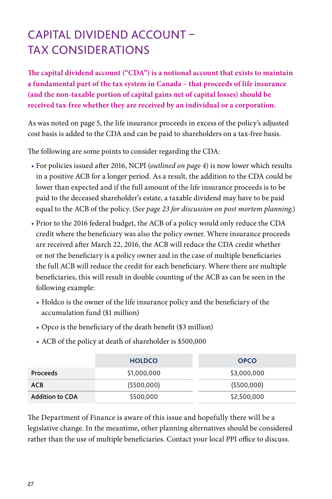## <span id="page-29-0"></span>CAPITAL DIVIDEND ACCOUNT – TAX CONSIDERATIONS

**The capital dividend account ("CDA") is a notional account that exists to maintain a fundamental part of the tax system in Canada – that proceeds of life insurance (and the non-taxable portion of capital gains net of capital losses) should be received tax-free whether they are received by an individual or a corporation.** 

As was noted o[n page 5,](#page-7-0) the life insurance proceeds in excess of the policy's adjusted cost basis is added to the CDA and can be paid to shareholders on a tax-free basis.

The following are some points to consider regarding the CDA:

- For policies issued after 2016, NCPI (*[outlined on page 4](#page-6-0)*) is now lower which results in a positive ACB for a longer period. As a result, the addition to the CDA could be lower than expected and if the full amount of the life insurance proceeds is to be paid to the deceased shareholder's estate, a taxable dividend may have to be paid equal to the ACB of the policy. (*[See page 23 for discussion on post mortem planning.](#page-25-0)*)
- Prior to the 2016 federal budget, the ACB of a policy would only reduce the CDA credit where the beneficiary was also the policy owner. Where insurance proceeds are received after March 22, 2016, the ACB will reduce the CDA credit whether or not the beneficiary is a policy owner and in the case of multiple beneficiaries the full ACB will reduce the credit for each beneficiary. Where there are multiple beneficiaries, this will result in double counting of the ACB as can be seen in the following example:
	- Holdco is the owner of the life insurance policy and the beneficiary of the accumulation fund (\$1 million)
	- Opco is the beneficiary of the death benefit (\$3 million)
	- ACB of the policy at death of shareholder is \$500,000

|                        | <b>HOLDCO</b> | <b>OPCO</b>  |
|------------------------|---------------|--------------|
| <b>Proceeds</b>        | \$1,000,000   | \$3,000,000  |
| ACB                    | ( \$500,000)  | ( \$500,000] |
| <b>Addition to CDA</b> | \$500,000     | \$2,500,000  |

The Department of Finance is aware of this issue and hopefully there will be a legislative change. In the meantime, other planning alternatives should be considered rather than the use of multiple beneficiaries. Contact your local PPI office to discuss.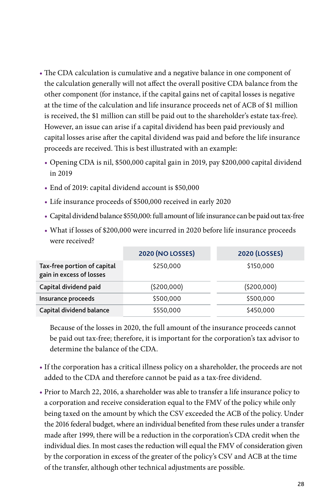- The CDA calculation is cumulative and a negative balance in one component of the calculation generally will not affect the overall positive CDA balance from the other component (for instance, if the capital gains net of capital losses is negative at the time of the calculation and life insurance proceeds net of ACB of \$1 million is received, the \$1 million can still be paid out to the shareholder's estate tax-free). However, an issue can arise if a capital dividend has been paid previously and capital losses arise after the capital dividend was paid and before the life insurance proceeds are received. This is best illustrated with an example:
	- Opening CDA is nil, \$500,000 capital gain in 2019, pay \$200,000 capital dividend in 2019
	- End of 2019: capital dividend account is \$50,000
	- Life insurance proceeds of \$500,000 received in early 2020
	- Capital dividend balance \$550,000: full amount of life insurance can be paid out tax-free
	- What if losses of \$200,000 were incurred in 2020 before life insurance proceeds were received?

|                                                         | <b>2020 (NO LOSSES)</b> | <b>2020 (LOSSES)</b> |
|---------------------------------------------------------|-------------------------|----------------------|
| Tax-free portion of capital<br>gain in excess of losses | \$250,000               | \$150,000            |
| Capital dividend paid                                   | (5200,000)              | (5200,000)           |
| Insurance proceeds                                      | \$500,000               | \$500,000            |
| Capital dividend balance                                | \$550,000               | \$450,000            |

Because of the losses in 2020, the full amount of the insurance proceeds cannot be paid out tax-free; therefore, it is important for the corporation's tax advisor to determine the balance of the CDA.

- If the corporation has a critical illness policy on a shareholder, the proceeds are not added to the CDA and therefore cannot be paid as a tax-free dividend.
- Prior to March 22, 2016, a shareholder was able to transfer a life insurance policy to a corporation and receive consideration equal to the FMV of the policy while only being taxed on the amount by which the CSV exceeded the ACB of the policy. Under the 2016 federal budget, where an individual benefited from these rules under a transfer made after 1999, there will be a reduction in the corporation's CDA credit when the individual dies. In most cases the reduction will equal the FMV of consideration given by the corporation in excess of the greater of the policy's CSV and ACB at the time of the transfer, although other technical adjustments are possible.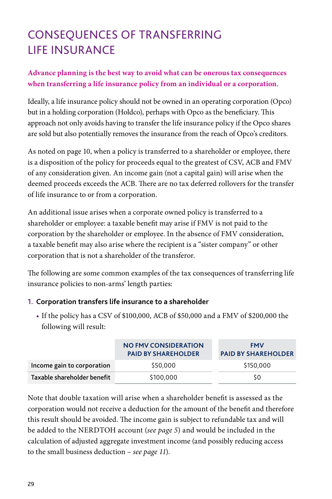# <span id="page-31-0"></span>CONSEQUENCES OF TRANSFERRING LIFE INSURANCE

### **Advance planning is the best way to avoid what can be onerous tax consequences when transferring a life insurance policy from an individual or a corporation.**

Ideally, a life insurance policy should not be owned in an operating corporation (Opco) but in a holding corporation (Holdco), perhaps with Opco as the beneficiary. This approach not only avoids having to transfer the life insurance policy if the Opco shares are sold but also potentially removes the insurance from the reach of Opco's creditors.

As noted on [page 10,](#page-12-0) when a policy is transferred to a shareholder or employee, there is a disposition of the policy for proceeds equal to the greatest of CSV, ACB and FMV of any consideration given. An income gain (not a capital gain) will arise when the deemed proceeds exceeds the ACB. There are no tax deferred rollovers for the transfer of life insurance to or from a corporation.

An additional issue arises when a corporate owned policy is transferred to a shareholder or employee: a taxable benefit may arise if FMV is not paid to the corporation by the shareholder or employee. In the absence of FMV consideration, a taxable benefit may also arise where the recipient is a "sister company" or other corporation that is not a shareholder of the transferor.

The following are some common examples of the tax consequences of transferring life insurance policies to non-arms' length parties:

#### **1. Corporation transfers life insurance to a shareholder**

• If the policy has a CSV of \$100,000, ACB of \$50,000 and a FMV of \$200,000 the following will result:

|                             | NO FMV CONSIDERATION<br><b>PAID BY SHAREHOLDER</b> | <b>FMV</b><br><b>PAID BY SHAREHOLDER</b> |
|-----------------------------|----------------------------------------------------|------------------------------------------|
| Income gain to corporation  | \$50,000                                           | \$150,000                                |
| Taxable shareholder benefit | \$100,000                                          | S0                                       |

Note that double taxation will arise when a shareholder benefit is assessed as the corporation would not receive a deduction for the amount of the benefit and therefore this result should be avoided. The income gain is subject to refundable tax and will be added to the NERDTOH account (*[see page 5](#page-7-0)*) and would be included in the calculation of adjusted aggregate investment income (and possibly reducing access to the small business deduction – *[see page 11](#page-13-0)*).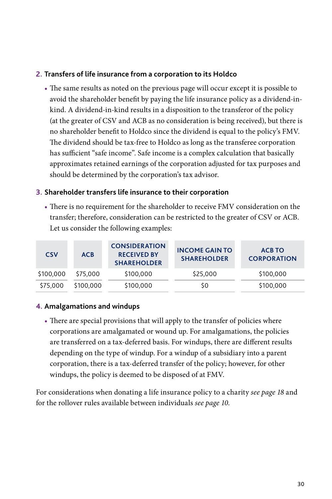#### **2. Transfers of life insurance from a corporation to its Holdco**

• The same results as noted on the previous page will occur except it is possible to avoid the shareholder benefit by paying the life insurance policy as a dividend-inkind. A dividend-in-kind results in a disposition to the transferor of the policy (at the greater of CSV and ACB as no consideration is being received), but there is no shareholder benefit to Holdco since the dividend is equal to the policy's FMV. The dividend should be tax-free to Holdco as long as the transferee corporation has sufficient "safe income". Safe income is a complex calculation that basically approximates retained earnings of the corporation adjusted for tax purposes and should be determined by the corporation's tax advisor.

#### **3. Shareholder transfers life insurance to their corporation**

• There is no requirement for the shareholder to receive FMV consideration on the transfer; therefore, consideration can be restricted to the greater of CSV or ACB. Let us consider the following examples:

| <b>CSV</b> | <b>ACB</b> | <b>CONSIDERATION</b><br><b>RECEIVED BY</b><br><b>SHAREHOLDER</b> | <b>INCOME GAIN TO</b><br><b>SHAREHOLDER</b> | <b>ACB TO</b><br><b>CORPORATION</b> |
|------------|------------|------------------------------------------------------------------|---------------------------------------------|-------------------------------------|
| \$100,000  | \$75,000   | \$100,000                                                        | \$25,000                                    | \$100,000                           |
| \$75,000   | \$100,000  | \$100,000                                                        | S0                                          | \$100,000                           |

#### **4. Amalgamations and windups**

• There are special provisions that will apply to the transfer of policies where corporations are amalgamated or wound up. For amalgamations, the policies are transferred on a tax-deferred basis. For windups, there are different results depending on the type of windup. For a windup of a subsidiary into a parent corporation, there is a tax-deferred transfer of the policy; however, for other windups, the policy is deemed to be disposed of at FMV.

For considerations when donating a life insurance policy to a charity *[see page 18](#page-20-0)* and for the rollover rules available between individuals *[see page 10](#page-12-0)*.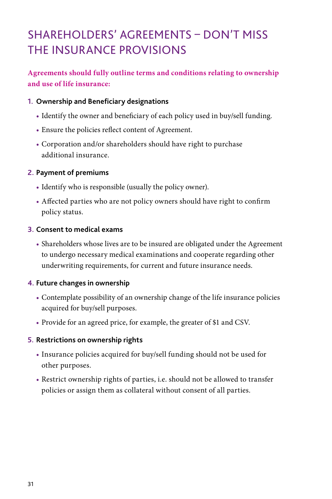# <span id="page-33-0"></span>SHAREHOLDERS' AGREEMENTS – DON'T MISS THE INSURANCE PROVISIONS

### **Agreements should fully outline terms and conditions relating to ownership and use of life insurance:**

#### **1. Ownership and Beneficiary designations**

- Identify the owner and beneficiary of each policy used in buy/sell funding.
- Ensure the policies reflect content of Agreement.
- Corporation and/or shareholders should have right to purchase additional insurance.

#### **2. Payment of premiums**

- Identify who is responsible (usually the policy owner).
- Affected parties who are not policy owners should have right to confirm policy status.

#### **3. Consent to medical exams**

• Shareholders whose lives are to be insured are obligated under the Agreement to undergo necessary medical examinations and cooperate regarding other underwriting requirements, for current and future insurance needs.

#### **4. Future changes in ownership**

- Contemplate possibility of an ownership change of the life insurance policies acquired for buy/sell purposes.
- Provide for an agreed price, for example, the greater of \$1 and CSV.

#### **5. Restrictions on ownership rights**

- Insurance policies acquired for buy/sell funding should not be used for other purposes.
- Restrict ownership rights of parties, i.e. should not be allowed to transfer policies or assign them as collateral without consent of all parties.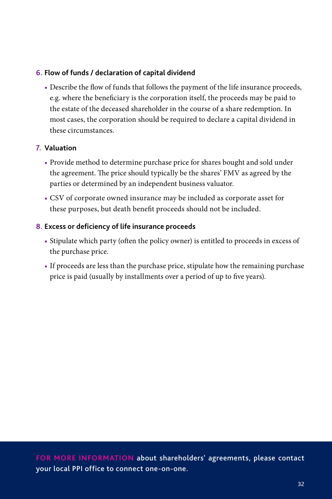#### **6. Flow of funds / declaration of capital dividend**

• Describe the flow of funds that follows the payment of the life insurance proceeds, e.g. where the beneficiary is the corporation itself, the proceeds may be paid to the estate of the deceased shareholder in the course of a share redemption. In most cases, the corporation should be required to declare a capital dividend in these circumstances.

#### **7. Valuation**

- Provide method to determine purchase price for shares bought and sold under the agreement. The price should typically be the shares' FMV as agreed by the parties or determined by an independent business valuator.
- CSV of corporate owned insurance may be included as corporate asset for these purposes, but death benefit proceeds should not be included.

#### **8. Excess or deficiency of life insurance proceeds**

- Stipulate which party (often the policy owner) is entitled to proceeds in excess of the purchase price.
- If proceeds are less than the purchase price, stipulate how the remaining purchase price is paid (usually by installments over a period of up to five years).

**FOR MORE INFORMATION** [about shareholders' agreements, please contact](#page-38-0)  your local PPI office to connect one-on-one.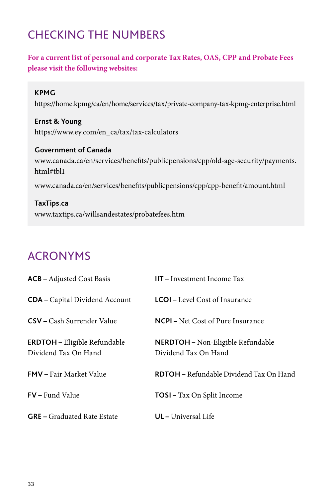## <span id="page-35-0"></span>CHECKING THE NUMBERS

### **For a current list of personal and corporate Tax Rates, OAS, CPP and Probate Fees please visit the following websites:**

#### **KPMG**

<https://home.kpmg/ca/en/home/services/tax/private-company-tax-kpmg-enterprise.html>

**Ernst & Young** [https://www.ey.com/en\\_ca/tax/tax-calculators](https://www.ey.com/en_ca/tax/tax-calculators) 

**Government of Canada** [www.canada.ca/en/services/benefits/publicpensions/cpp/old-age-security/payments.](https://www.canada.ca/en/services/benefits/publicpensions/cpp/old-age-security/payments.html#tbl1) html#tbl1

[www.canada.ca/en/services/benefits/publicpensions/cpp/cpp-benefit/amount.html](https://www.canada.ca/en/services/benefits/publicpensions/cpp/cpp-benefit/amount.html)

#### **TaxTips.ca** [www.taxtips.ca/willsandestates/probatefees.htm](https://www.taxtips.ca/willsandestates/probatefees.htm)

## ACRONYMS

| <b>ACB</b> - Adjusted Cost Basis                            | $III - Investment Income Tax$                             |
|-------------------------------------------------------------|-----------------------------------------------------------|
| <b>CDA</b> – Capital Dividend Account                       | <b>LCOI</b> – Level Cost of Insurance                     |
| <b>CSV</b> – Cash Surrender Value                           | <b>NCPI</b> – Net Cost of Pure Insurance                  |
| <b>ERDTOH</b> - Eligible Refundable<br>Dividend Tax On Hand | NERDTOH - Non-Eligible Refundable<br>Dividend Tax On Hand |
| <b>FMV</b> – Fair Market Value                              | <b>RDTOH</b> – Refundable Dividend Tax On Hand            |
| <b>FV</b> – Fund Value                                      | <b>TOSI</b> – Tax On Split Income                         |
| <b>GRE</b> – Graduated Rate Estate                          | <b>UL</b> - Universal Life                                |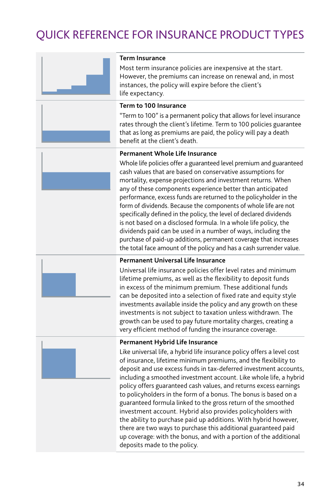## <span id="page-36-0"></span>QUICK REFERENCE FOR INSURANCE PRODUCT TYPES



#### **Term Insurance**

Most term insurance policies are inexpensive at the start. However, the premiums can increase on renewal and, in most instances, the policy will expire before the client's life expectancy.

#### **Term to 100 Insurance**

"Term to 100" is a permanent policy that allows for level insurance rates through the client's lifetime. Term to 100 policies guarantee that as long as premiums are paid, the policy will pay a death benefit at the client's death.

#### **Permanent Whole Life Insurance**

Whole life policies offer a guaranteed level premium and guaranteed cash values that are based on conservative assumptions for mortality, expense projections and investment returns. When any of these components experience better than anticipated performance, excess funds are returned to the policyholder in the form of dividends. Because the components of whole life are not specifically defined in the policy, the level of declared dividends is not based on a disclosed formula. In a whole life policy, the dividends paid can be used in a number of ways, including the purchase of paid-up additions, permanent coverage that increases the total face amount of the policy and has a cash surrender value.



#### **Permanent Universal Life Insurance**

Universal life insurance policies offer level rates and minimum lifetime premiums, as well as the flexibility to deposit funds in excess of the minimum premium. These additional funds can be deposited into a selection of fixed rate and equity style investments available inside the policy and any growth on these investments is not subject to taxation unless withdrawn. The growth can be used to pay future mortality charges, creating a very efficient method of funding the insurance coverage.



#### **Permanent Hybrid Life Insurance**

Like universal life, a hybrid life insurance policy offers a level cost of insurance, lifetime minimum premiums, and the flexibility to deposit and use excess funds in tax-deferred investment accounts, including a smoothed investment account. Like whole life, a hybrid policy offers guaranteed cash values, and returns excess earnings to policyholders in the form of a bonus. The bonus is based on a guaranteed formula linked to the gross return of the smoothed investment account. Hybrid also provides policyholders with the ability to purchase paid up additions. With hybrid however, there are two ways to purchase this additional guaranteed paid up coverage: with the bonus, and with a portion of the additional deposits made to the policy.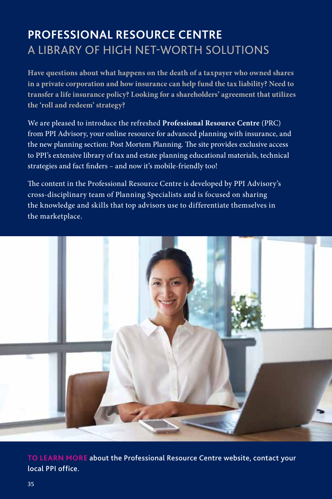## <span id="page-37-0"></span>**PROFESSIONAL RESOURCE CENTRE** A LIBRARY OF HIGH NET-WORTH SOLUTIONS

**Have questions about what happens on the death of a taxpayer who owned shares in a private corporation and how insurance can help fund the tax liability? Need to transfer a life insurance policy? Looking for a shareholders' agreement that utilizes the 'roll and redeem' strategy?**

We are pleased to introduce the refreshed **Professional Resource Centre** (PRC) from PPI Advisory, your online resource for advanced planning with insurance, and the new planning section: Post Mortem Planning. The site provides exclusive access to PPI's extensive library of tax and estate planning educational materials, technical strategies and fact finders – and now it's mobile-friendly too!

The content in the Professional Resource Centre is developed by PPI Advisory's cross-disciplinary team of Planning Specialists and is focused on sharing the knowledge and skills that top advisors use to differentiate themselves in the marketplace.



**TO LEARN MORE** [about the Professional Resource Centre website, contact your](#page-38-0)  local PPI office.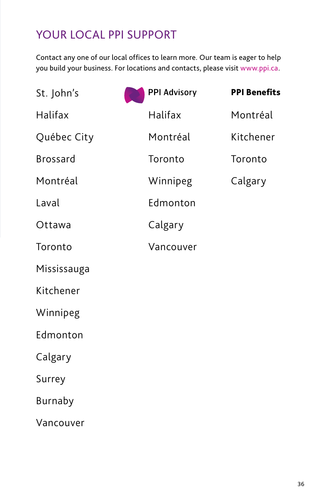## <span id="page-38-0"></span>YOUR LOCAL PPI SUPPORT

Contact any one of our local offices to learn more. Our team is eager to help you build your business. For locations and contacts, please visit [www.ppi.ca.](https://www.ppi.ca/en/contact)

| St. John's      | <b>PPI Advisory</b> | <b>PPI Benefits</b> |
|-----------------|---------------------|---------------------|
| Halifax         | Halifax             | Montréal            |
| Québec City     | Montréal            | Kitchener           |
| <b>Brossard</b> | Toronto             | Toronto             |
| Montréal        | Winnipeg            | Calgary             |
| Laval           | Edmonton            |                     |
| Ottawa          | Calgary             |                     |
| Toronto         | Vancouver           |                     |
| Mississauga     |                     |                     |
| Kitchener       |                     |                     |
| Winnipeg        |                     |                     |
| Edmonton        |                     |                     |
| Calgary         |                     |                     |
| Surrey          |                     |                     |
| <b>Burnaby</b>  |                     |                     |
| Vancouver       |                     |                     |